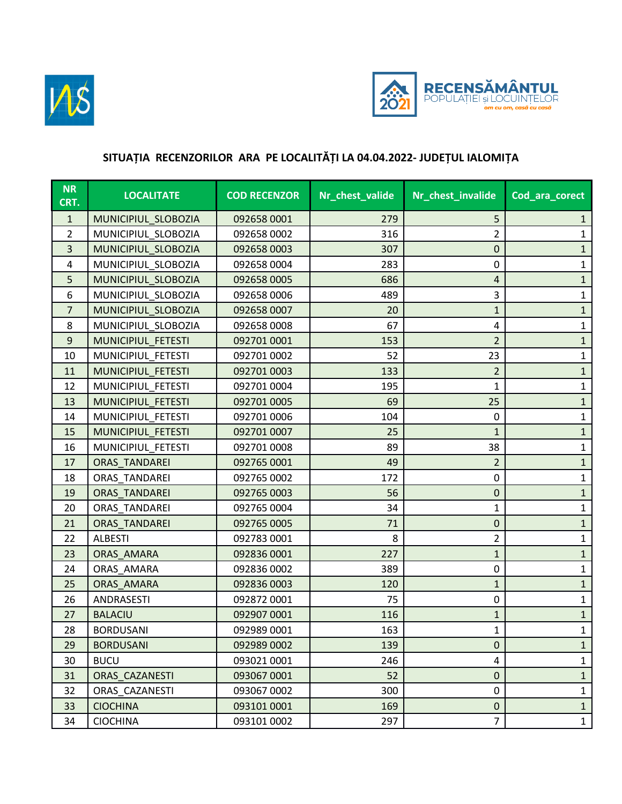



## **SITUAȚIA RECENZORILOR ARA PE LOCALITĂȚI LA 04.04.2022- JUDEȚUL IALOMIȚA**

| <b>NR</b><br>CRT. | <b>LOCALITATE</b>    | <b>COD RECENZOR</b> | Nr_chest_valide | Nr_chest_invalide | Cod_ara_corect |
|-------------------|----------------------|---------------------|-----------------|-------------------|----------------|
| $\mathbf{1}$      | MUNICIPIUL_SLOBOZIA  | 092658 0001         | 279             | 5                 | $\mathbf{1}$   |
| $\overline{2}$    | MUNICIPIUL_SLOBOZIA  | 092658 0002         | 316             | $\overline{2}$    | $\mathbf{1}$   |
| 3                 | MUNICIPIUL_SLOBOZIA  | 092658 0003         | 307             | $\pmb{0}$         | $\mathbf{1}$   |
| 4                 | MUNICIPIUL_SLOBOZIA  | 092658 0004         | 283             | 0                 | $\mathbf{1}$   |
| 5                 | MUNICIPIUL_SLOBOZIA  | 092658 0005         | 686             | 4                 | $\mathbf{1}$   |
| 6                 | MUNICIPIUL SLOBOZIA  | 092658 0006         | 489             | 3                 | $\mathbf{1}$   |
| $\overline{7}$    | MUNICIPIUL_SLOBOZIA  | 092658 0007         | 20              | $\mathbf{1}$      | $\mathbf{1}$   |
| 8                 | MUNICIPIUL SLOBOZIA  | 092658 0008         | 67              | 4                 | $\mathbf{1}$   |
| $\boldsymbol{9}$  | MUNICIPIUL FETESTI   | 092701 0001         | 153             | $\overline{2}$    | $\mathbf{1}$   |
| 10                | MUNICIPIUL FETESTI   | 092701 0002         | 52              | 23                | $\mathbf{1}$   |
| 11                | MUNICIPIUL FETESTI   | 092701 0003         | 133             | $\overline{2}$    | $\mathbf{1}$   |
| 12                | MUNICIPIUL_FETESTI   | 092701 0004         | 195             | $\mathbf{1}$      | $\mathbf{1}$   |
| 13                | MUNICIPIUL FETESTI   | 092701 0005         | 69              | 25                | $\mathbf{1}$   |
| 14                | MUNICIPIUL FETESTI   | 092701 0006         | 104             | $\mathbf 0$       | $\mathbf{1}$   |
| 15                | MUNICIPIUL FETESTI   | 092701 0007         | 25              | $\mathbf{1}$      | $\mathbf{1}$   |
| 16                | MUNICIPIUL FETESTI   | 092701 0008         | 89              | 38                | $\mathbf{1}$   |
| 17                | <b>ORAS TANDAREI</b> | 092765 0001         | 49              | 2                 | $\mathbf{1}$   |
| 18                | ORAS TANDAREI        | 092765 0002         | 172             | 0                 | $\mathbf{1}$   |
| 19                | ORAS TANDAREI        | 092765 0003         | 56              | $\pmb{0}$         | $\mathbf{1}$   |
| 20                | ORAS TANDAREI        | 092765 0004         | 34              | $\mathbf{1}$      | $\mathbf{1}$   |
| 21                | <b>ORAS TANDAREI</b> | 092765 0005         | 71              | $\pmb{0}$         | $\mathbf{1}$   |
| 22                | <b>ALBESTI</b>       | 092783 0001         | 8               | $\overline{2}$    | $\mathbf{1}$   |
| 23                | ORAS AMARA           | 092836 0001         | 227             | $\mathbf{1}$      | $\mathbf{1}$   |
| 24                | ORAS_AMARA           | 092836 0002         | 389             | 0                 | $\mathbf{1}$   |
| 25                | ORAS_AMARA           | 092836 0003         | 120             | $\mathbf{1}$      | $\mathbf{1}$   |
| 26                | ANDRASESTI           | 092872 0001         | 75              | 0                 | $\mathbf{1}$   |
| 27                | <b>BALACIU</b>       | 092907 0001         | 116             | $\mathbf{1}$      | $\mathbf{1}$   |
| 28                | <b>BORDUSANI</b>     | 092989 0001         | 163             | $\mathbf{1}$      | $\mathbf{1}$   |
| 29                | <b>BORDUSANI</b>     | 092989 0002         | 139             | 0                 | $\mathbf{1}$   |
| 30                | <b>BUCU</b>          | 093021 0001         | 246             | 4                 | $\mathbf{1}$   |
| 31                | ORAS CAZANESTI       | 093067 0001         | 52              | 0                 | $\mathbf{1}$   |
| 32                | ORAS CAZANESTI       | 093067 0002         | 300             | 0                 | 1              |
| 33                | <b>CIOCHINA</b>      | 093101 0001         | 169             | 0                 | $\mathbf{1}$   |
| 34                | <b>CIOCHINA</b>      | 093101 0002         | 297             | $\overline{7}$    | $\mathbf{1}$   |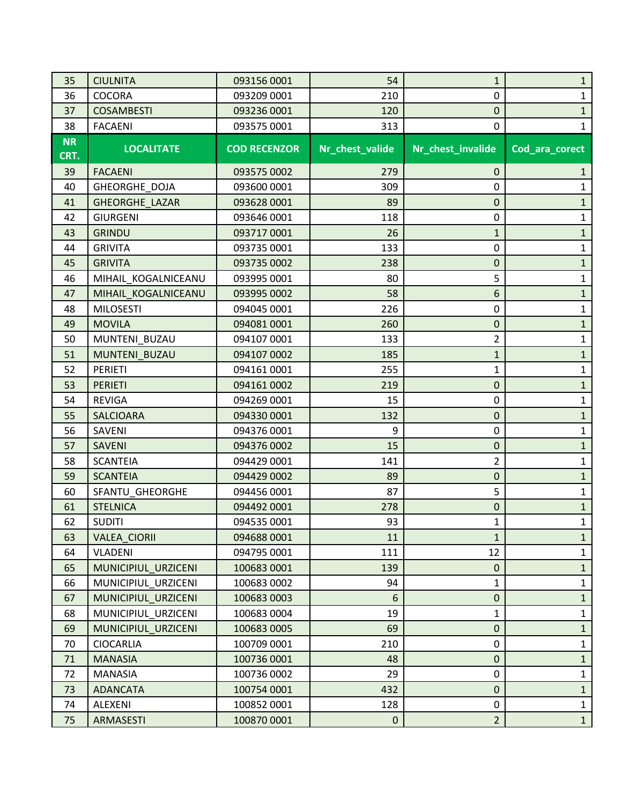| 35        | <b>CIULNITA</b>      | 093156 0001         | 54              | $\mathbf{1}$      | $\mathbf{1}$   |
|-----------|----------------------|---------------------|-----------------|-------------------|----------------|
| 36        | <b>COCORA</b>        | 093209 0001         | 210             | 0                 | 1              |
| 37        | <b>COSAMBESTI</b>    | 093236 0001         | 120             | 0                 | $\mathbf{1}$   |
| 38        | <b>FACAENI</b>       | 093575 0001         | 313             | 0                 | 1              |
| <b>NR</b> | <b>LOCALITATE</b>    | <b>COD RECENZOR</b> | Nr_chest_valide | Nr_chest_invalide | Cod_ara_corect |
| CRT.      |                      |                     |                 |                   |                |
| 39        | <b>FACAENI</b>       | 093575 0002         | 279             | $\pmb{0}$         | 1              |
| 40        | <b>GHEORGHE DOJA</b> | 093600 0001         | 309             | 0                 | 1              |
| 41        | GHEORGHE_LAZAR       | 093628 0001         | 89              | 0                 | $\mathbf{1}$   |
| 42        | <b>GIURGENI</b>      | 093646 0001         | 118             | 0                 | $\mathbf 1$    |
| 43        | <b>GRINDU</b>        | 0937170001          | 26              | $\mathbf{1}$      | $\mathbf{1}$   |
| 44        | <b>GRIVITA</b>       | 093735 0001         | 133             | 0                 | 1              |
| 45        | <b>GRIVITA</b>       | 093735 0002         | 238             | 0                 | $\mathbf{1}$   |
| 46        | MIHAIL KOGALNICEANU  | 093995 0001         | 80              | 5                 | $\mathbf 1$    |
| 47        | MIHAIL KOGALNICEANU  | 093995 0002         | 58              | 6                 | $\mathbf{1}$   |
| 48        | <b>MILOSESTI</b>     | 094045 0001         | 226             | 0                 | 1              |
| 49        | <b>MOVILA</b>        | 094081 0001         | 260             | 0                 | $\mathbf{1}$   |
| 50        | MUNTENI BUZAU        | 094107 0001         | 133             | $\overline{2}$    | $\mathbf 1$    |
| 51        | MUNTENI BUZAU        | 094107 0002         | 185             | $\mathbf{1}$      | $\mathbf{1}$   |
| 52        | <b>PERIETI</b>       | 094161 0001         | 255             | 1                 | 1              |
| 53        | <b>PERIETI</b>       | 094161 0002         | 219             | 0                 | $\mathbf{1}$   |
| 54        | <b>REVIGA</b>        | 094269 0001         | 15              | 0                 | $\mathbf 1$    |
| 55        | <b>SALCIOARA</b>     | 094330 0001         | 132             | 0                 | $\mathbf{1}$   |
| 56        | SAVENI               | 094376 0001         | 9               | 0                 | 1              |
| 57        | <b>SAVENI</b>        | 094376 0002         | 15              | 0                 | $\mathbf{1}$   |
| 58        | <b>SCANTEIA</b>      | 094429 0001         | 141             | $\overline{2}$    | $\mathbf 1$    |
| 59        | <b>SCANTEIA</b>      | 094429 0002         | 89              | 0                 | $\mathbf{1}$   |
| 60        | SFANTU_GHEORGHE      | 094456 0001         | 87              | 5                 | 1              |
| 61        | <b>STELNICA</b>      | 094492 0001         | 278             | 0                 | $\mathbf{1}$   |
| 62        | <b>SUDITI</b>        | 094535 0001         | 93              | $\mathbf{1}$      | 1              |
| 63        | VALEA_CIORII         | 094688 0001         | 11              | $\mathbf{1}$      | $\mathbf{1}$   |
| 64        | VLADENI              | 094795 0001         | 111             | 12                | $\mathbf 1$    |
| 65        | MUNICIPIUL URZICENI  | 100683 0001         | 139             | $\mathbf 0$       | $\mathbf{1}$   |
| 66        | MUNICIPIUL URZICENI  | 100683 0002         | 94              | 1                 | 1              |
| 67        | MUNICIPIUL_URZICENI  | 100683 0003         | 6               | $\mathbf 0$       | $\mathbf{1}$   |
| 68        | MUNICIPIUL URZICENI  | 100683 0004         | 19              | $\mathbf{1}$      | $\mathbf 1$    |
| 69        | MUNICIPIUL URZICENI  | 100683 0005         | 69              | $\mathbf 0$       | $\mathbf{1}$   |
| 70        | <b>CIOCARLIA</b>     | 100709 0001         | 210             | 0                 | 1              |
| 71        | <b>MANASIA</b>       | 100736 0001         | 48              | $\mathbf 0$       | $\mathbf{1}$   |
| 72        | <b>MANASIA</b>       | 100736 0002         | 29              | 0                 | $\mathbf 1$    |
| 73        | <b>ADANCATA</b>      | 100754 0001         | 432             | $\mathbf 0$       | $\mathbf{1}$   |
| 74        | ALEXENI              | 100852 0001         | 128             | 0                 | $\mathbf 1$    |
| 75        | ARMASESTI            | 100870 0001         | $\overline{0}$  | $\overline{2}$    | $\mathbf{1}$   |